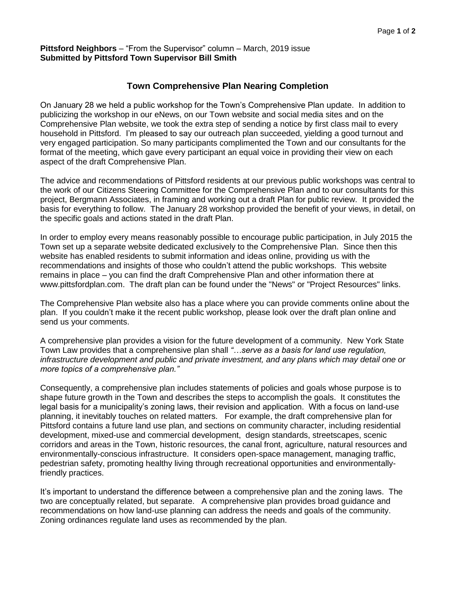## **Pittsford Neighbors** – "From the Supervisor" column – March, 2019 issue **Submitted by Pittsford Town Supervisor Bill Smith**

## **Town Comprehensive Plan Nearing Completion**

On January 28 we held a public workshop for the Town's Comprehensive Plan update. In addition to publicizing the workshop in our eNews, on our Town website and social media sites and on the Comprehensive Plan website, we took the extra step of sending a notice by first class mail to every household in Pittsford. I'm pleased to say our outreach plan succeeded, yielding a good turnout and very engaged participation. So many participants complimented the Town and our consultants for the format of the meeting, which gave every participant an equal voice in providing their view on each aspect of the draft Comprehensive Plan.

The advice and recommendations of Pittsford residents at our previous public workshops was central to the work of our Citizens Steering Committee for the Comprehensive Plan and to our consultants for this project, Bergmann Associates, in framing and working out a draft Plan for public review. It provided the basis for everything to follow. The January 28 workshop provided the benefit of your views, in detail, on the specific goals and actions stated in the draft Plan.

In order to employ every means reasonably possible to encourage public participation, in July 2015 the Town set up a separate website dedicated exclusively to the Comprehensive Plan. Since then this website has enabled residents to submit information and ideas online, providing us with the recommendations and insights of those who couldn't attend the public workshops. This website remains in place – you can find the draft Comprehensive Plan and other information there at [www.pittsfordplan.com.](http://www.pittsfordplan.com/) The draft plan can be found under the "News" or "Project Resources" links.

The Comprehensive Plan website also has a place where you can provide comments online about the plan. If you couldn't make it the recent public workshop, please look over the draft plan online and send us your comments.

A comprehensive plan provides a vision for the future development of a community. New York State Town Law provides that a comprehensive plan shall *"…serve as a basis for land use regulation, infrastructure development and public and private investment, and any plans which may detail one or more topics of a comprehensive plan."*

Consequently, a comprehensive plan includes statements of policies and goals whose purpose is to shape future growth in the Town and describes the steps to accomplish the goals. It constitutes the legal basis for a municipality's zoning laws, their revision and application. With a focus on land-use planning, it inevitably touches on related matters. For example, the draft comprehensive plan for Pittsford contains a future land use plan, and sections on community character, including residential development, mixed-use and commercial development, design standards, streetscapes, scenic corridors and areas in the Town, historic resources, the canal front, agriculture, natural resources and environmentally-conscious infrastructure. It considers open-space management, managing traffic, pedestrian safety, promoting healthy living through recreational opportunities and environmentallyfriendly practices.

It's important to understand the difference between a comprehensive plan and the zoning laws. The two are conceptually related, but separate. A comprehensive plan provides broad guidance and recommendations on how land-use planning can address the needs and goals of the community. Zoning ordinances regulate land uses as recommended by the plan.